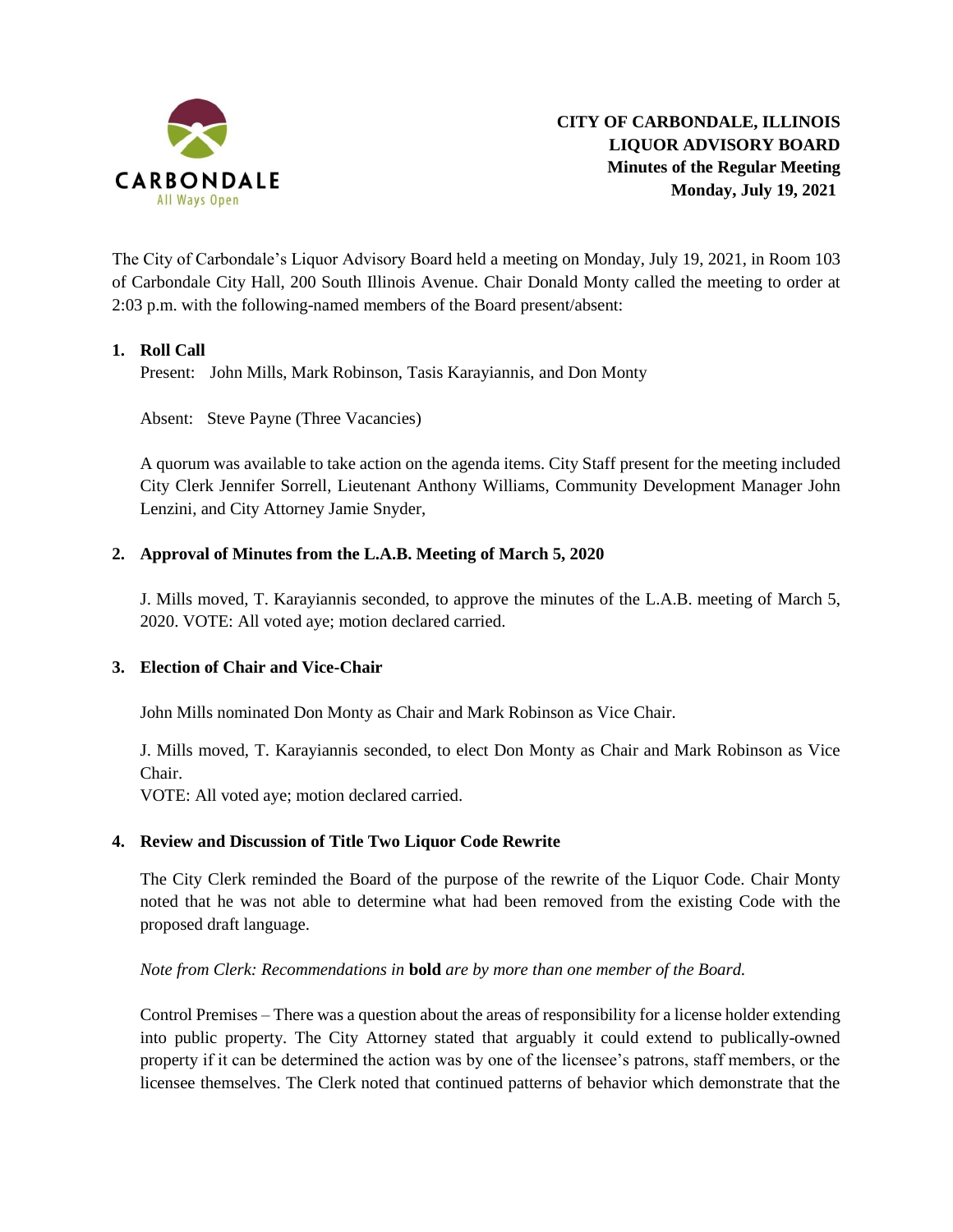

The City of Carbondale's Liquor Advisory Board held a meeting on Monday, July 19, 2021, in Room 103 of Carbondale City Hall, 200 South Illinois Avenue. Chair Donald Monty called the meeting to order at 2:03 p.m. with the following-named members of the Board present/absent:

## **1. Roll Call**

Present: John Mills, Mark Robinson, Tasis Karayiannis, and Don Monty

Absent: Steve Payne (Three Vacancies)

A quorum was available to take action on the agenda items. City Staff present for the meeting included City Clerk Jennifer Sorrell, Lieutenant Anthony Williams, Community Development Manager John Lenzini, and City Attorney Jamie Snyder,

## **2. Approval of Minutes from the L.A.B. Meeting of March 5, 2020**

J. Mills moved, T. Karayiannis seconded, to approve the minutes of the L.A.B. meeting of March 5, 2020. VOTE: All voted aye; motion declared carried.

## **3. Election of Chair and Vice-Chair**

John Mills nominated Don Monty as Chair and Mark Robinson as Vice Chair.

J. Mills moved, T. Karayiannis seconded, to elect Don Monty as Chair and Mark Robinson as Vice Chair.

VOTE: All voted aye; motion declared carried.

#### **4. Review and Discussion of Title Two Liquor Code Rewrite**

The City Clerk reminded the Board of the purpose of the rewrite of the Liquor Code. Chair Monty noted that he was not able to determine what had been removed from the existing Code with the proposed draft language.

#### *Note from Clerk: Recommendations in* **bold** *are by more than one member of the Board.*

Control Premises – There was a question about the areas of responsibility for a license holder extending into public property. The City Attorney stated that arguably it could extend to publically-owned property if it can be determined the action was by one of the licensee's patrons, staff members, or the licensee themselves. The Clerk noted that continued patterns of behavior which demonstrate that the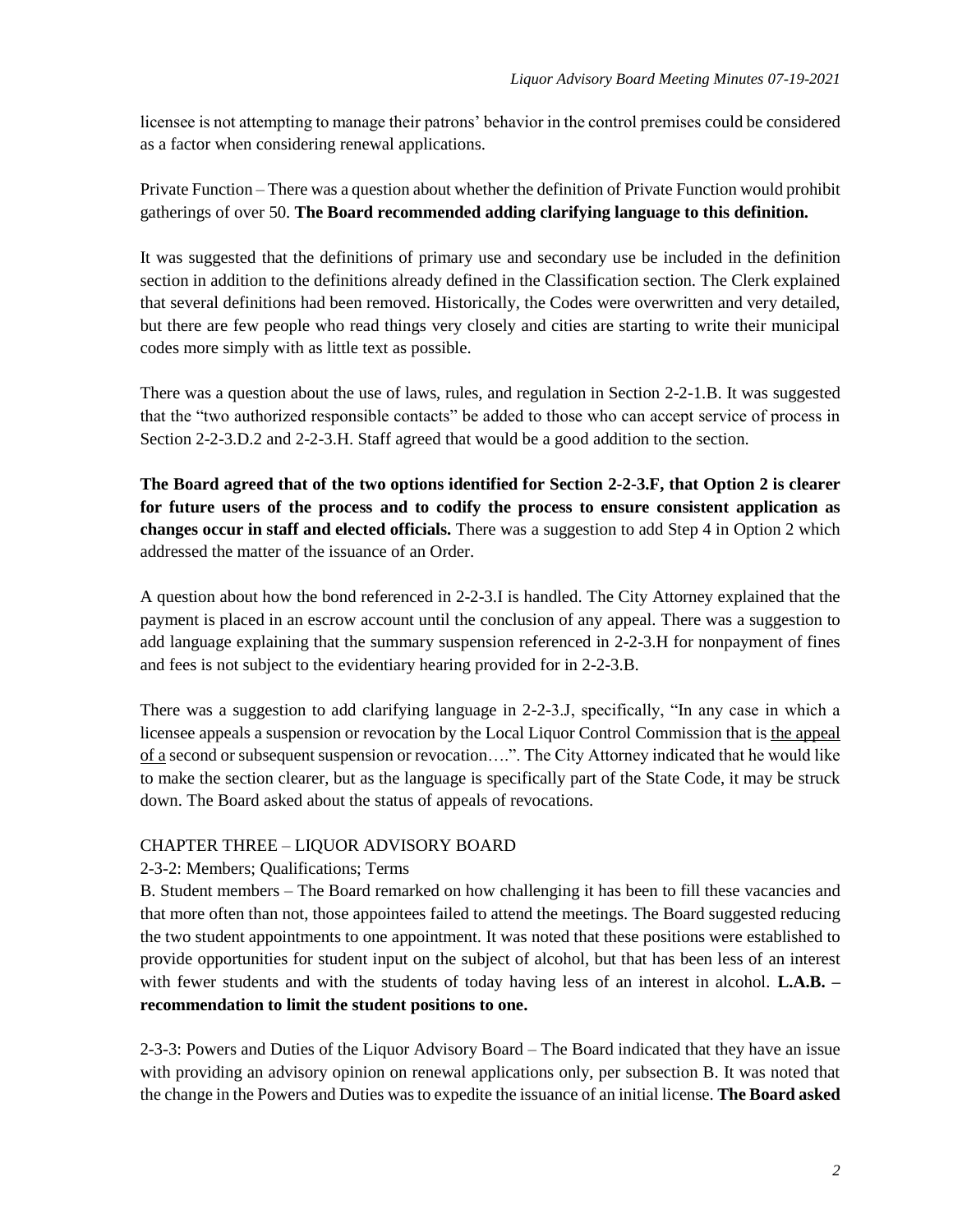licensee is not attempting to manage their patrons' behavior in the control premises could be considered as a factor when considering renewal applications.

Private Function – There was a question about whether the definition of Private Function would prohibit gatherings of over 50. **The Board recommended adding clarifying language to this definition.**

It was suggested that the definitions of primary use and secondary use be included in the definition section in addition to the definitions already defined in the Classification section. The Clerk explained that several definitions had been removed. Historically, the Codes were overwritten and very detailed, but there are few people who read things very closely and cities are starting to write their municipal codes more simply with as little text as possible.

There was a question about the use of laws, rules, and regulation in Section 2-2-1.B. It was suggested that the "two authorized responsible contacts" be added to those who can accept service of process in Section 2-2-3.D.2 and 2-2-3.H. Staff agreed that would be a good addition to the section.

**The Board agreed that of the two options identified for Section 2-2-3.F, that Option 2 is clearer for future users of the process and to codify the process to ensure consistent application as changes occur in staff and elected officials.** There was a suggestion to add Step 4 in Option 2 which addressed the matter of the issuance of an Order.

A question about how the bond referenced in 2-2-3.I is handled. The City Attorney explained that the payment is placed in an escrow account until the conclusion of any appeal. There was a suggestion to add language explaining that the summary suspension referenced in 2-2-3.H for nonpayment of fines and fees is not subject to the evidentiary hearing provided for in 2-2-3.B.

There was a suggestion to add clarifying language in 2-2-3.J, specifically, "In any case in which a licensee appeals a suspension or revocation by the Local Liquor Control Commission that is the appeal of a second or subsequent suspension or revocation....". The City Attorney indicated that he would like to make the section clearer, but as the language is specifically part of the State Code, it may be struck down. The Board asked about the status of appeals of revocations.

## CHAPTER THREE – LIQUOR ADVISORY BOARD

## 2-3-2: Members; Qualifications; Terms

B. Student members – The Board remarked on how challenging it has been to fill these vacancies and that more often than not, those appointees failed to attend the meetings. The Board suggested reducing the two student appointments to one appointment. It was noted that these positions were established to provide opportunities for student input on the subject of alcohol, but that has been less of an interest with fewer students and with the students of today having less of an interest in alcohol. **L.A.B. – recommendation to limit the student positions to one.**

2-3-3: Powers and Duties of the Liquor Advisory Board – The Board indicated that they have an issue with providing an advisory opinion on renewal applications only, per subsection B. It was noted that the change in the Powers and Duties was to expedite the issuance of an initial license. **The Board asked**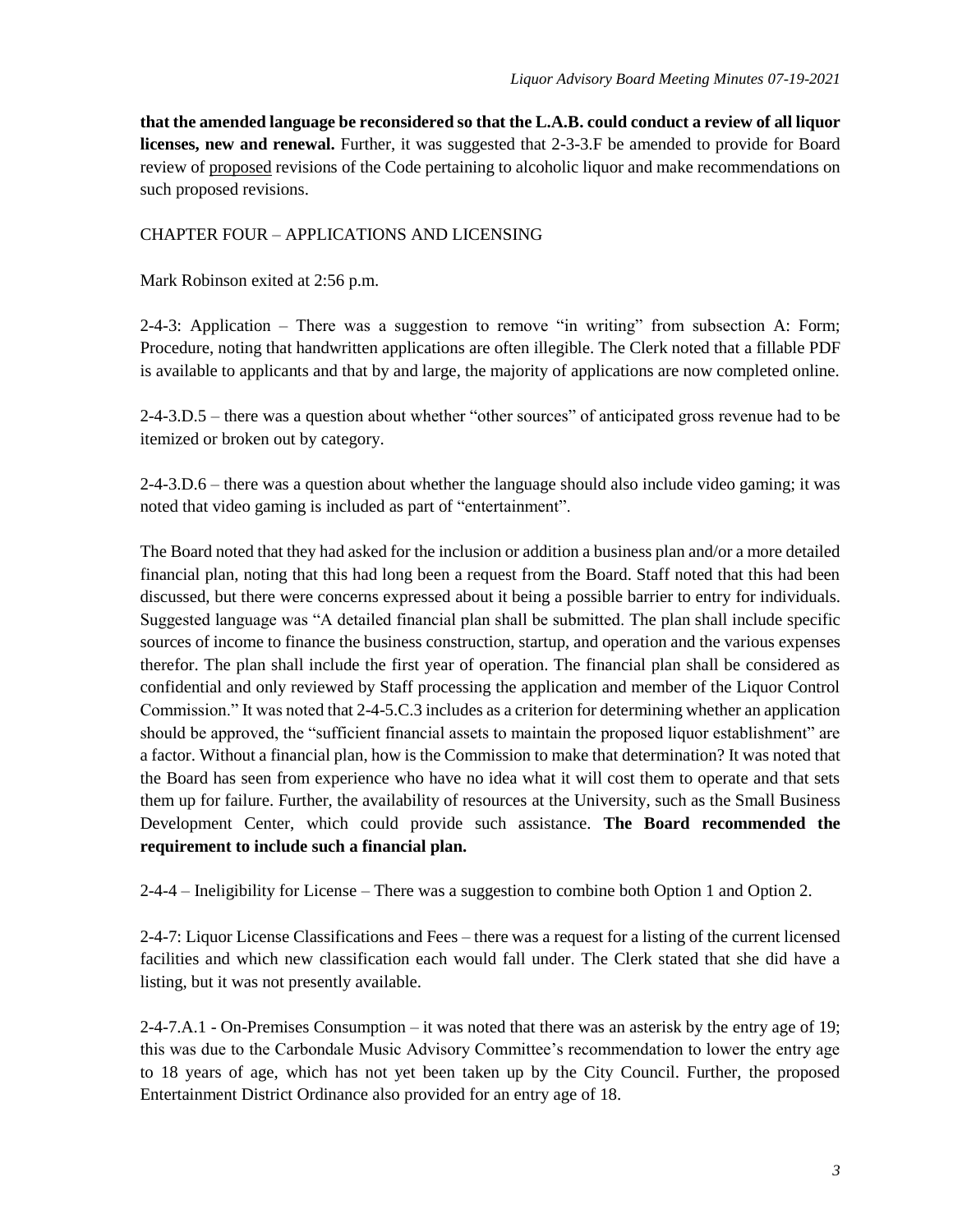**that the amended language be reconsidered so that the L.A.B. could conduct a review of all liquor licenses, new and renewal.** Further, it was suggested that 2-3-3.F be amended to provide for Board review of proposed revisions of the Code pertaining to alcoholic liquor and make recommendations on such proposed revisions.

#### CHAPTER FOUR – APPLICATIONS AND LICENSING

Mark Robinson exited at 2:56 p.m.

2-4-3: Application – There was a suggestion to remove "in writing" from subsection A: Form; Procedure, noting that handwritten applications are often illegible. The Clerk noted that a fillable PDF is available to applicants and that by and large, the majority of applications are now completed online.

2-4-3.D.5 – there was a question about whether "other sources" of anticipated gross revenue had to be itemized or broken out by category.

2-4-3.D.6 – there was a question about whether the language should also include video gaming; it was noted that video gaming is included as part of "entertainment".

The Board noted that they had asked for the inclusion or addition a business plan and/or a more detailed financial plan, noting that this had long been a request from the Board. Staff noted that this had been discussed, but there were concerns expressed about it being a possible barrier to entry for individuals. Suggested language was "A detailed financial plan shall be submitted. The plan shall include specific sources of income to finance the business construction, startup, and operation and the various expenses therefor. The plan shall include the first year of operation. The financial plan shall be considered as confidential and only reviewed by Staff processing the application and member of the Liquor Control Commission." It was noted that 2-4-5.C.3 includes as a criterion for determining whether an application should be approved, the "sufficient financial assets to maintain the proposed liquor establishment" are a factor. Without a financial plan, how is the Commission to make that determination? It was noted that the Board has seen from experience who have no idea what it will cost them to operate and that sets them up for failure. Further, the availability of resources at the University, such as the Small Business Development Center, which could provide such assistance. **The Board recommended the requirement to include such a financial plan.**

2-4-4 – Ineligibility for License – There was a suggestion to combine both Option 1 and Option 2.

2-4-7: Liquor License Classifications and Fees – there was a request for a listing of the current licensed facilities and which new classification each would fall under. The Clerk stated that she did have a listing, but it was not presently available.

2-4-7.A.1 - On-Premises Consumption – it was noted that there was an asterisk by the entry age of 19; this was due to the Carbondale Music Advisory Committee's recommendation to lower the entry age to 18 years of age, which has not yet been taken up by the City Council. Further, the proposed Entertainment District Ordinance also provided for an entry age of 18.